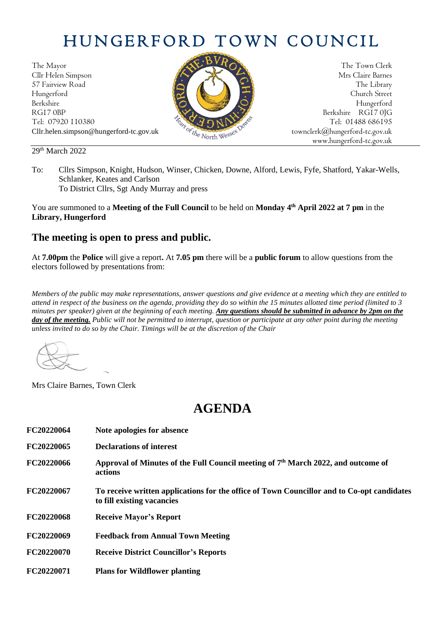# HUNGERFORD TOWN COUNCIL

The Mayor The Town Clerk Cllr Helen Simpson Mrs Claire Barnes 57 Fairview Road The Library (1999) and the Library (1999) and the Library (1999) and the Library (1999) and the Library (1999) and the Library (1999) and the Library (1999) and the Library (1999) and the Library (1999) an Hungerford Church Street Berkshire Hungerford RG17 0BP Berkshire RG17 0JG Cllr.helen.simpson@hungerford-tc.gov.uk [townclerk@hungerford-tc.gov.uk](mailto:townclerk@hungerford-tc.gov.uk)



Tel: 07920 110380 Tel: 07920 110380 Tel: 07920 110380 Tel: 01488 686195 www.hungerford-tc.gov.uk

#### 29<sup>th</sup> March 2022

To: Cllrs Simpson, Knight, Hudson, Winser, Chicken, Downe, Alford, Lewis, Fyfe, Shatford, Yakar-Wells, Schlanker, Keates and Carlson To District Cllrs, Sgt Andy Murray and press

You are summoned to a **Meeting of the Full Council** to be held on **Monday 4 th April 2022 at 7 pm** in the **Library, Hungerford**

### **The meeting is open to press and public.**

At **7.00pm** the **Police** will give a report**.** At **7.05 pm** there will be a **public forum** to allow questions from the electors followed by presentations from:

*Members of the public may make representations, answer questions and give evidence at a meeting which they are entitled to attend in respect of the business on the agenda, providing they do so within the 15 minutes allotted time period (limited to 3 minutes per speaker) given at the beginning of each meeting. Any questions should be submitted in advance by 2pm on the day of the meeting.* Public will not be permitted to interrupt, question or participate at any other point during the meeting *unless invited to do so by the Chair. Timings will be at the discretion of the Chair*

Mrs Claire Barnes, Town Clerk

## **AGENDA**

| FC20220064 | Note apologies for absence                                                                                               |
|------------|--------------------------------------------------------------------------------------------------------------------------|
| FC20220065 | <b>Declarations of interest</b>                                                                                          |
| FC20220066 | Approval of Minutes of the Full Council meeting of 7 <sup>th</sup> March 2022, and outcome of<br>actions                 |
| FC20220067 | To receive written applications for the office of Town Councillor and to Co-opt candidates<br>to fill existing vacancies |
| FC20220068 | <b>Receive Mayor's Report</b>                                                                                            |
| FC20220069 | <b>Feedback from Annual Town Meeting</b>                                                                                 |
| FC20220070 | <b>Receive District Councillor's Reports</b>                                                                             |
| FC20220071 | <b>Plans for Wildflower planting</b>                                                                                     |